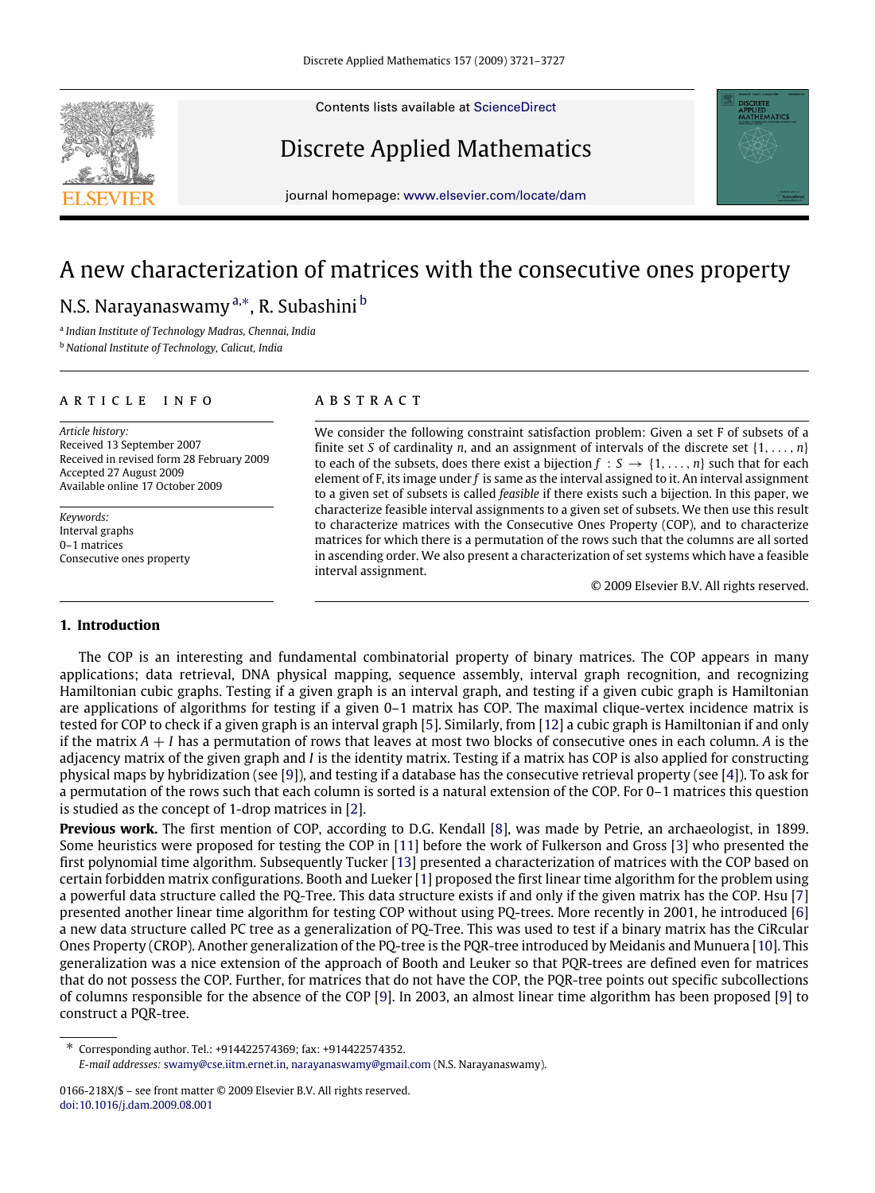Contents lists available at [ScienceDirect](http://www.elsevier.com/locate/dam)

## Discrete Applied Mathematics

journal homepage: [www.elsevier.com/locate/dam](http://www.elsevier.com/locate/dam)

# A new characterization of matrices with the consecutive ones property N.S. Narayanaswamy ª,\*, R. Su[b](#page-0-2)ashini <sup>b</sup>

<span id="page-0-2"></span><span id="page-0-0"></span>a *Indian Institute of Technology Madras, Chennai, India* <sup>b</sup> *National Institute of Technology, Calicut, India*

#### ARTICLE INFO

*Article history:* Received 13 September 2007 Received in revised form 28 February 2009 Accepted 27 August 2009 Available online 17 October 2009

*Keywords:* Interval graphs 0–1 matrices Consecutive ones property

#### a b s t r a c t

We consider the following constraint satisfaction problem: Given a set F of subsets of a finite set *S* of cardinality *n*, and an assignment of intervals of the discrete set  $\{1, \ldots, n\}$ to each of the subsets, does there exist a bijection  $f : S \rightarrow \{1, \ldots, n\}$  such that for each element of F, its image under *f* is same as the interval assigned to it. An interval assignment to a given set of subsets is called *feasible* if there exists such a bijection. In this paper, we characterize feasible interval assignments to a given set of subsets. We then use this result to characterize matrices with the Consecutive Ones Property (COP), and to characterize matrices for which there is a permutation of the rows such that the columns are all sorted in ascending order. We also present a characterization of set systems which have a feasible interval assignment.

© 2009 Elsevier B.V. All rights reserved.

## **1. Introduction**

The COP is an interesting and fundamental combinatorial property of binary matrices. The COP appears in many applications; data retrieval, DNA physical mapping, sequence assembly, interval graph recognition, and recognizing Hamiltonian cubic graphs. Testing if a given graph is an interval graph, and testing if a given cubic graph is Hamiltonian are applications of algorithms for testing if a given 0–1 matrix has COP. The maximal clique-vertex incidence matrix is tested for COP to check if a given graph is an interval graph [\[5\]](#page-6-0). Similarly, from [\[12\]](#page-6-1) a cubic graph is Hamiltonian if and only if the matrix *A* + *I* has a permutation of rows that leaves at most two blocks of consecutive ones in each column. *A* is the adjacency matrix of the given graph and *I* is the identity matrix. Testing if a matrix has COP is also applied for constructing physical maps by hybridization (see [\[9\]](#page-6-2)), and testing if a database has the consecutive retrieval property (see [\[4\]](#page-6-3)). To ask for a permutation of the rows such that each column is sorted is a natural extension of the COP. For 0–1 matrices this question is studied as the concept of 1-drop matrices in [\[2\]](#page-6-4).

**Previous work.** The first mention of COP, according to D.G. Kendall [\[8\]](#page-6-5), was made by Petrie, an archaeologist, in 1899. Some heuristics were proposed for testing the COP in [\[11\]](#page-6-6) before the work of Fulkerson and Gross [\[3\]](#page-6-7) who presented the first polynomial time algorithm. Subsequently Tucker [\[13\]](#page-6-8) presented a characterization of matrices with the COP based on certain forbidden matrix configurations. Booth and Lueker [\[1\]](#page-6-9) proposed the first linear time algorithm for the problem using a powerful data structure called the PQ-Tree. This data structure exists if and only if the given matrix has the COP. Hsu [\[7\]](#page-6-10) presented another linear time algorithm for testing COP without using PQ-trees. More recently in 2001, he introduced [\[6\]](#page-6-11) a new data structure called PC tree as a generalization of PQ-Tree. This was used to test if a binary matrix has the CiRcular Ones Property (CROP). Another generalization of the PQ-tree is the PQR-tree introduced by Meidanis and Munuera [\[10\]](#page-6-12). This generalization was a nice extension of the approach of Booth and Leuker so that PQR-trees are defined even for matrices that do not possess the COP. Further, for matrices that do not have the COP, the PQR-tree points out specific subcollections of columns responsible for the absence of the COP [\[9\]](#page-6-2). In 2003, an almost linear time algorithm has been proposed [\[9\]](#page-6-2) to construct a PQR-tree.

<span id="page-0-1"></span>∗ Corresponding author. Tel.: +914422574369; fax: +914422574352. *E-mail addresses:* [swamy@cse.iitm.ernet.in,](mailto:swamy@cse.iitm.ernet.in) [narayanaswamy@gmail.com](mailto:narayanaswamy@gmail.com) (N.S. Narayanaswamy).





<sup>0166-218</sup>X/\$ – see front matter © 2009 Elsevier B.V. All rights reserved. [doi:10.1016/j.dam.2009.08.001](http://dx.doi.org/10.1016/j.dam.2009.08.001)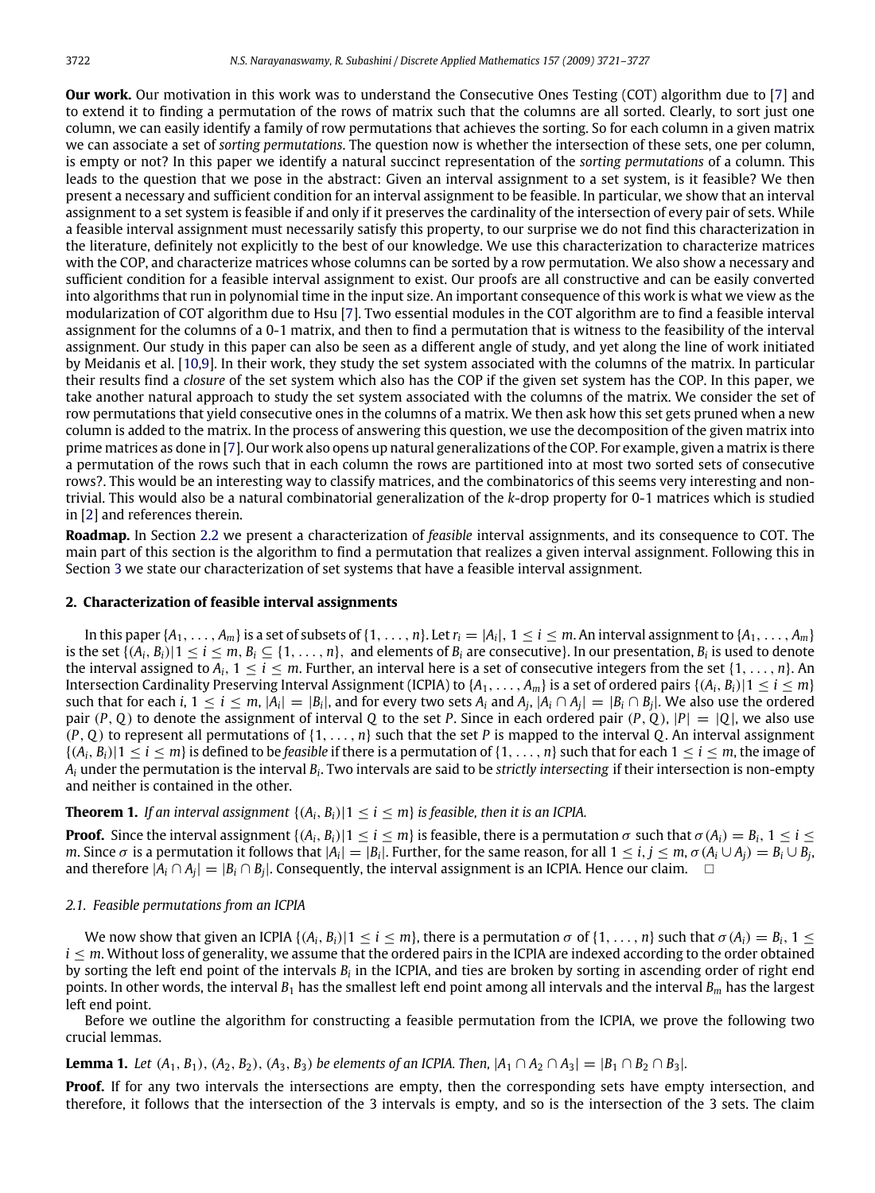**Our work.** Our motivation in this work was to understand the Consecutive Ones Testing (COT) algorithm due to [\[7\]](#page-6-10) and to extend it to finding a permutation of the rows of matrix such that the columns are all sorted. Clearly, to sort just one column, we can easily identify a family of row permutations that achieves the sorting. So for each column in a given matrix we can associate a set of *sorting permutations*. The question now is whether the intersection of these sets, one per column, is empty or not? In this paper we identify a natural succinct representation of the *sorting permutations* of a column. This leads to the question that we pose in the abstract: Given an interval assignment to a set system, is it feasible? We then present a necessary and sufficient condition for an interval assignment to be feasible. In particular, we show that an interval assignment to a set system is feasible if and only if it preserves the cardinality of the intersection of every pair of sets. While a feasible interval assignment must necessarily satisfy this property, to our surprise we do not find this characterization in the literature, definitely not explicitly to the best of our knowledge. We use this characterization to characterize matrices with the COP, and characterize matrices whose columns can be sorted by a row permutation. We also show a necessary and sufficient condition for a feasible interval assignment to exist. Our proofs are all constructive and can be easily converted into algorithms that run in polynomial time in the input size. An important consequence of this work is what we view as the modularization of COT algorithm due to Hsu [\[7\]](#page-6-10). Two essential modules in the COT algorithm are to find a feasible interval assignment for the columns of a 0-1 matrix, and then to find a permutation that is witness to the feasibility of the interval assignment. Our study in this paper can also be seen as a different angle of study, and yet along the line of work initiated by Meidanis et al. [\[10](#page-6-12)[,9\]](#page-6-2). In their work, they study the set system associated with the columns of the matrix. In particular their results find a *closure* of the set system which also has the COP if the given set system has the COP. In this paper, we take another natural approach to study the set system associated with the columns of the matrix. We consider the set of row permutations that yield consecutive ones in the columns of a matrix. We then ask how this set gets pruned when a new column is added to the matrix. In the process of answering this question, we use the decomposition of the given matrix into prime matrices as done in [\[7\]](#page-6-10). Our work also opens up natural generalizations of the COP. For example, given a matrix is there a permutation of the rows such that in each column the rows are partitioned into at most two sorted sets of consecutive rows?. This would be an interesting way to classify matrices, and the combinatorics of this seems very interesting and nontrivial. This would also be a natural combinatorial generalization of the *k*-drop property for 0-1 matrices which is studied in [\[2\]](#page-6-4) and references therein.

**Roadmap.** In Section [2.2](#page-3-0) we present a characterization of *feasible* interval assignments, and its consequence to COT. The main part of this section is the algorithm to find a permutation that realizes a given interval assignment. Following this in Section [3](#page-3-1) we state our characterization of set systems that have a feasible interval assignment.

## **2. Characterization of feasible interval assignments**

In this paper  $\{A_1,\ldots,A_m\}$  is a set of subsets of  $\{1,\ldots,n\}$ . Let  $r_i=|A_i|, 1\leq i\leq m$ . An interval assignment to  $\{A_1,\ldots,A_m\}$ is the set  $\{(A_i, B_i) | 1 \le i \le m, B_i \subseteq \{1, \ldots, n\}$ , and elements of  $B_i$  are consecutive}. In our presentation,  $B_i$  is used to denote the interval assigned to  $A_i$ ,  $1 \le i \le m$ . Further, an interval here is a set of consecutive integers from the set  $\{1, \ldots, n\}$ . An Intersection Cardinality Preserving Interval Assignment (ICPIA) to  $\{A_1, \ldots, A_m\}$  is a set of ordered pairs  $\{(A_i, B_i) | 1 \leq i \leq m\}$ such that for each i,  $1 \le i \le m$ ,  $|A_i| = |B_i|$ , and for every two sets  $A_i$  and  $A_j$ ,  $|A_i \cap A_j| = |B_i \cap B_j|$ . We also use the ordered pair  $(P, Q)$  to denote the assignment of interval Q to the set P. Since in each ordered pair  $(P, Q)$ ,  $|P| = |Q|$ , we also use (*P*, *Q*) to represent all permutations of {1, . . . , *n*} such that the set *P* is mapped to the interval *Q*. An interval assignment  $\{(A_i, B_i) | 1 \le i \le m\}$  is defined to be *feasible* if there is a permutation of  $\{1, \ldots, n\}$  such that for each  $1 \le i \le m$ , the image of  $A_i$  under the permutation is the interval  $B_i.$  Two intervals are said to be *strictly intersecting* if their intersection is non-empty and neither is contained in the other.

#### <span id="page-1-1"></span>**Theorem 1.** *If an interval assignment*  $\{(A_i, B_i) | 1 \le i \le m\}$  *is feasible, then it is an ICPIA.*

**Proof.** Since the interval assignment  $\{(A_i, B_i) | 1 \le i \le m\}$  is feasible, there is a permutation  $\sigma$  such that  $\sigma(A_i) = B_i$ ,  $1 \le i \le n\}$ m. Since  $\sigma$  is a permutation it follows that  $|A_i|=|B_i|$ . Further, for the same reason, for all  $1\leq i,j\leq m$ ,  $\sigma(A_i\cup A_j)=B_i\cup B_j$ , and therefore  $|A_i \cap A_j| = |B_i \cap B_j|$ . Consequently, the interval assignment is an ICPIA. Hence our claim. □

#### *2.1. Feasible permutations from an ICPIA*

We now show that given an ICPIA  $\{(A_i, B_i) | 1 \le i \le m\}$ , there is a permutation  $\sigma$  of  $\{1, \ldots, n\}$  such that  $\sigma(A_i) = B_i$ ,  $1 \le i \le n\}$ *i* ≤ *m*. Without loss of generality, we assume that the ordered pairs in the ICPIA are indexed according to the order obtained by sorting the left end point of the intervals  $B_i$  in the ICPIA, and ties are broken by sorting in ascending order of right end points. In other words, the interval *B*<sup>1</sup> has the smallest left end point among all intervals and the interval *B<sup>m</sup>* has the largest left end point.

Before we outline the algorithm for constructing a feasible permutation from the ICPIA, we prove the following two crucial lemmas.

<span id="page-1-0"></span>**Lemma 1.** *Let*  $(A_1, B_1)$ ,  $(A_2, B_2)$ ,  $(A_3, B_3)$  *be elements of an ICPIA. Then,*  $|A_1 \cap A_2 \cap A_3| = |B_1 \cap B_2 \cap B_3|$ *.* 

**Proof.** If for any two intervals the intersections are empty, then the corresponding sets have empty intersection, and therefore, it follows that the intersection of the 3 intervals is empty, and so is the intersection of the 3 sets. The claim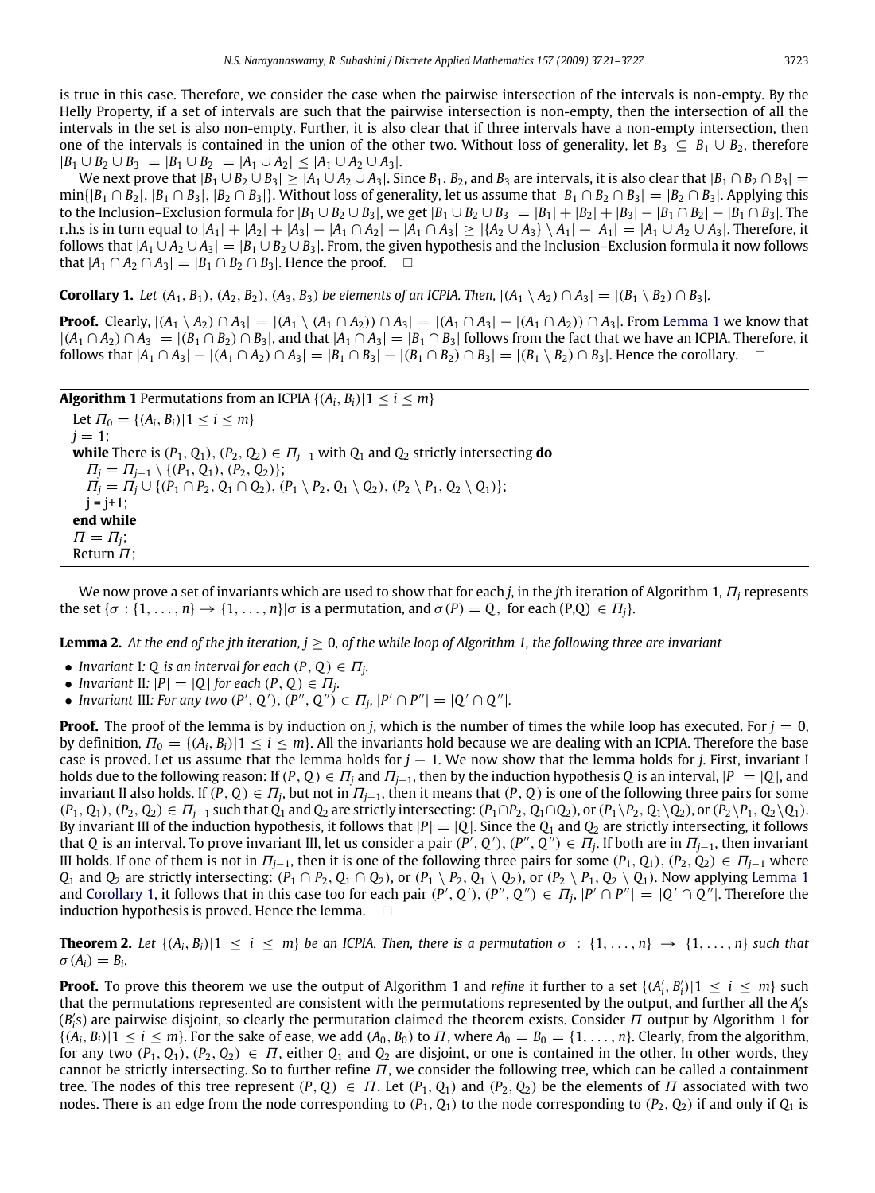is true in this case. Therefore, we consider the case when the pairwise intersection of the intervals is non-empty. By the Helly Property, if a set of intervals are such that the pairwise intersection is non-empty, then the intersection of all the intervals in the set is also non-empty. Further, it is also clear that if three intervals have a non-empty intersection, then one of the intervals is contained in the union of the other two. Without loss of generality, let  $B_3 \subseteq B_1 \cup B_2$ , therefore  $|B_1 \cup B_2 \cup B_3| = |B_1 \cup B_2| = |A_1 \cup A_2| \leq |A_1 \cup A_2 \cup A_3|.$ 

We next prove that  $|B_1 \cup B_2 \cup B_3|$  >  $|A_1 \cup A_2 \cup A_3|$ . Since  $B_1, B_2$ , and  $B_3$  are intervals, it is also clear that  $|B_1 \cap B_2 \cap B_3|$  =  $\min\{|B_1 \cap B_2|, |B_1 \cap B_3|, |B_2 \cap B_3|\}$ . Without loss of generality, let us assume that  $|B_1 \cap B_2 \cap B_3| = |B_2 \cap B_3|$ . Applying this to the Inclusion–Exclusion formula for  $|B_1 \cup B_2 \cup B_3|$ , we get  $|B_1 \cup B_2 \cup B_3| = |B_1| + |B_2| + |B_3| - |B_1 \cap B_2| - |B_1 \cap B_3|$ . The r.h.s is in turn equal to  $|A_1| + |A_2| + |A_3| - |A_1 \cap A_2| - |A_1 \cap A_3| \ge |{A_2 \cup A_3} \setminus A_1| + |A_1| = |A_1 \cup A_2 \cup A_3|$ . Therefore, it follows that  $|A_1 \cup A_2 \cup A_3| = |B_1 \cup B_2 \cup B_3|$ . From, the given hypothesis and the Inclusion–Exclusion formula it now follows that  $|A_1 \cap A_2 \cap A_3| = |B_1 \cap B_2 \cap B_3|$ . Hence the proof.  $\square$ 

<span id="page-2-0"></span>**Corollary 1.** Let  $(A_1, B_1), (A_2, B_2), (A_3, B_3)$  be elements of an ICPIA. Then,  $|(A_1 \setminus A_2) \cap A_3| = |(B_1 \setminus B_2) \cap B_3|$ .

**Proof.** Clearly,  $|(A_1 \setminus A_2) \cap A_3| = |(A_1 \setminus (A_1 \cap A_2)) \cap A_3| = |(A_1 \cap A_3| - |(A_1 \cap A_2)) \cap A_3|$ . From [Lemma 1](#page-1-0) we know that  $|(A_1 \cap A_2) \cap A_3| = |(B_1 \cap B_2) \cap B_3|$ , and that  $|A_1 \cap A_3| = |B_1 \cap B_3|$  follows from the fact that we have an ICPIA. Therefore, it  $f_{0}$  *follows that*  $|A_1 \cap A_3| - |(A_1 \cap A_2) \cap A_3| = |B_1 \cap B_3| - |(B_1 \cap B_2) \cap B_3| = |(B_1 \setminus B_2) \cap B_3|$ . Hence the corollary. □

| <b>Algorithm 1</b> Permutations from an ICPIA $\{(A_i, B_i)   1 \le i \le m\}$                                                           |
|------------------------------------------------------------------------------------------------------------------------------------------|
| Let $\Pi_0 = \{(A_i, B_i)   1 \le i \le m\}$                                                                                             |
| $i = 1$ :                                                                                                                                |
| <b>while</b> There is $(P_1, Q_1), (P_2, Q_2) \in \Pi_{i-1}$ with $Q_1$ and $Q_2$ strictly intersecting <b>do</b>                        |
| $\Pi_i = \Pi_{i-1} \setminus \{(P_1, Q_1), (P_2, Q_2)\};$                                                                                |
| $\Pi_i = \Pi_i \cup \{ (P_1 \cap P_2, Q_1 \cap Q_2), (P_1 \setminus P_2, Q_1 \setminus Q_2), (P_2 \setminus P_1, Q_2 \setminus Q_1) \};$ |
| $i = i + 1$ :                                                                                                                            |
| end while                                                                                                                                |
| $\Pi = \Pi_i$ ;                                                                                                                          |
| Return $\Pi$ :                                                                                                                           |

We now prove a set of invariants which are used to show that for each *j*, in the *j*th iteration of Algorithm 1, Π*<sup>j</sup>* represents the set  $\{\sigma : \{1, \ldots, n\} \rightarrow \{1, \ldots, n\} | \sigma \text{ is a permutation, and } \sigma(P) = Q, \text{ for each } (P,Q) \in \Pi_i\}.$ 

**Lemma 2.** At the end of the jth iteration,  $j \ge 0$ , of the while loop of Algorithm 1, the following three are invariant

- *Invariant* I: Q *is an interval for each*  $(P, Q) \in \Pi_j$ .
- *Invariant* II:  $|P| = |Q|$  *for each*  $(P, Q) \in \Pi_j$ .
- *Invariant III: For any two*  $(P', Q'), (P'', Q'') \in \Pi_j, |P' \cap P''| = |Q' \cap Q''|$ *.*

**Proof.** The proof of the lemma is by induction on *j*, which is the number of times the while loop has executed. For  $j = 0$ , by definition,  $\Pi_0 = \{(A_i, B_i) | 1 \le i \le m\}$ . All the invariants hold because we are dealing with an ICPIA. Therefore the base case is proved. Let us assume that the lemma holds for *j* − 1. We now show that the lemma holds for *j*. First, invariant I holds due to the following reason: If  $(P, Q) \in \Pi_i$  and  $\Pi_{i-1}$ , then by the induction hypothesis *Q* is an interval,  $|P| = |Q|$ , and invariant II also holds. If  $(P,Q) \in \Pi_j$ , but not in  $\Pi_{j-1}$ , then it means that  $(P,Q)$  is one of the following three pairs for some  $(P_1, Q_1), (P_2, Q_2) \in \Pi_{i-1}$  such that  $Q_1$  and  $Q_2$  are strictly intersecting:  $(P_1 \cap P_2, Q_1 \cap Q_2)$ , or  $(P_1 \setminus P_2, Q_1 \setminus Q_2)$ , or  $(P_2 \setminus P_1, Q_2 \setminus Q_1)$ . By invariant III of the induction hypothesis, it follows that  $|P| = |Q|$ . Since the  $Q_1$  and  $Q_2$  are strictly intersecting, it follows that *Q* is an interval. To prove invariant III, let us consider a pair  $(P', Q'), (P'', Q'') \in \Pi_j$ . If both are in  $\Pi_{j-1}$ , then invariant III holds. If one of them is not in  $\Pi_{i-1}$ , then it is one of the following three pairs for some  $(P_1, Q_1), (P_2, Q_2) \in \Pi_{i-1}$  where *Q*<sub>1</sub> and *Q*<sub>2</sub> are strictly intersecting: (*P*<sub>1</sub> ∩ *P*<sub>2</sub>, *Q*<sub>1</sub> ∩ *Q*<sub>2</sub>), or (*P*<sub>1</sub> ∖ *P*<sub>2</sub>, *Q*<sub>1</sub> ∖ *Q*<sub>2</sub>), or (*P*<sub>2</sub> ∖ *P*<sub>1</sub>, *Q*<sub>2</sub> ∖ *Q*<sub>1</sub>). Now applying [Lemma 1](#page-1-0) and [Corollary 1,](#page-2-0) it follows that in this case too for each pair  $(P', Q'), (P'', Q'') \in \Pi_j$ ,  $|P' \cap P''| = |Q' \cap Q''|$ . Therefore the induction hypothesis is proved. Hence the lemma.  $\square$ 

<span id="page-2-1"></span>**Theorem 2.** Let  $\{(A_i, B_i) | 1 \le i \le m\}$  be an ICPIA. Then, there is a permutation  $\sigma : \{1, \ldots, n\} \to \{1, \ldots, n\}$  such that  $\sigma(A_i) = B_i.$ 

**Proof.** To prove this theorem we use the output of Algorithm 1 and *refine* it further to a set  $\{(A'_i, B'_i) | 1 \le i \le m\}$  such that the permutations represented are consistent with the permutations represented by the output, and further all the *A*<sup>2</sup>  $(B'_i)$  are pairwise disjoint, so clearly the permutation claimed the theorem exists. Consider  $\Pi$  output by Algorithm 1 for  $\{(A_i, B_i) | 1 \le i \le m\}$ . For the sake of ease, we add  $(A_0, B_0)$  to  $\Pi$ , where  $A_0 = B_0 = \{1, \ldots, n\}$ . Clearly, from the algorithm, for any two  $(P_1, Q_1), (P_2, Q_2) \in \Pi$ , either  $Q_1$  and  $Q_2$  are disjoint, or one is contained in the other. In other words, they cannot be strictly intersecting. So to further refine  $\Pi$ , we consider the following tree, which can be called a containment tree. The nodes of this tree represent  $(P, Q) \in \Pi$ . Let  $(P_1, Q_1)$  and  $(P_2, Q_2)$  be the elements of  $\Pi$  associated with two nodes. There is an edge from the node corresponding to  $(P_1, Q_1)$  to the node corresponding to  $(P_2, Q_2)$  if and only if  $Q_1$  is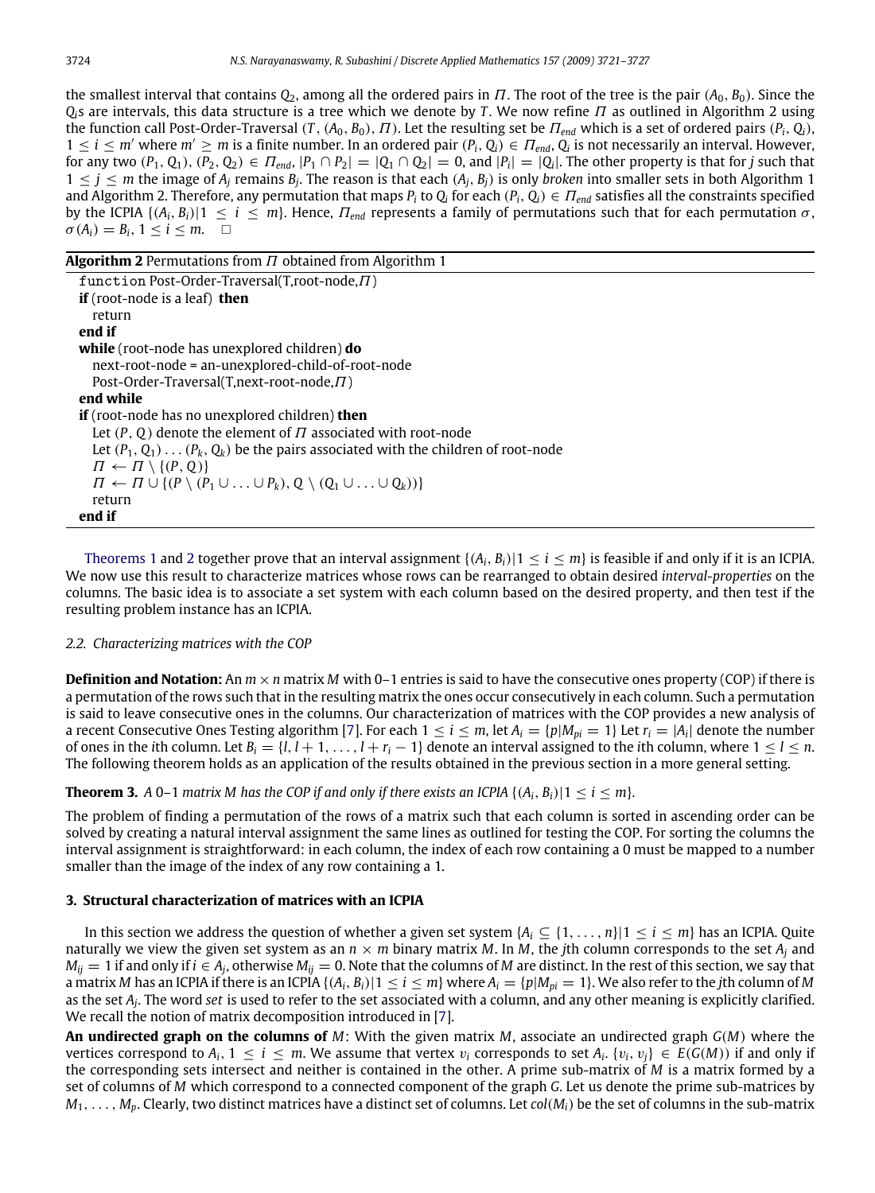the smallest interval that contains  $Q_2$ , among all the ordered pairs in  $\Pi$ . The root of the tree is the pair  $(A_0, B_0)$ . Since the *Qi*s are intervals, this data structure is a tree which we denote by *T* . We now refine Π as outlined in Algorithm 2 using the function call Post-Order-Traversal  $(T, (A_0, B_0), T)$ . Let the resulting set be  $\Pi_{end}$  which is a set of ordered pairs  $(P_i, Q_i)$ ,  $1 \le i \le m'$  where  $m' \ge m$  is a finite number. In an ordered pair  $(P_i, Q_i) \in \Pi_{end}$ ,  $Q_i$  is not necessarily an interval. However, for any two  $(P_1, Q_1), (P_2, Q_2) \in \Pi_{end}$ ,  $|P_1 \cap P_2| = |Q_1 \cap Q_2| = 0$ , and  $|P_i| = |Q_i|$ . The other property is that for j such that  $1 \leq j \leq m$  the image of  $A_j$  remains  $B_j$ . The reason is that each  $(A_j, B_j)$  is only *broken* into smaller sets in both Algorithm 1 and Algorithm 2. Therefore, any permutation that maps  $P_i$  to  $Q_i$  for each ( $P_i$ ,  $Q_i$ )  $\in$   $\Pi_{end}$  satisfies all the constraints specified by the ICPIA  $\{(A_i, B_i) | 1 \le i \le m\}$ . Hence,  $\Pi_{end}$  represents a family of permutations such that for each permutation  $\sigma$ ,  $\sigma(A_i) = B_i, 1 \leq i \leq m.$ 

**Algorithm 2** Permutations from Π obtained from Algorithm 1

function Post-Order-Traversal(T,root-node,Π) **if** (root-node is a leaf) **then** return **end if while** (root-node has unexplored children) **do** next-root-node = an-unexplored-child-of-root-node Post-Order-Traversal(T,next-root-node,Π) **end while if** (root-node has no unexplored children) **then** Let  $(P, Q)$  denote the element of  $\Pi$  associated with root-node Let  $(P_1, Q_1) \ldots (P_k, Q_k)$  be the pairs associated with the children of root-node  $\Pi \leftarrow \Pi \setminus \{(P, Q)\}\$  $\Pi \leftarrow \Pi \cup \{ (P \setminus (P_1 \cup \ldots \cup P_k), Q \setminus (Q_1 \cup \ldots \cup Q_k)) \}$ return **end if**

[Theorems 1](#page-1-1) and [2](#page-2-1) together prove that an interval assignment  $\{(A_i, B_i) | 1 \le i \le m\}$  is feasible if and only if it is an ICPIA. We now use this result to characterize matrices whose rows can be rearranged to obtain desired *interval-properties* on the columns. The basic idea is to associate a set system with each column based on the desired property, and then test if the resulting problem instance has an ICPIA.

#### <span id="page-3-0"></span>*2.2. Characterizing matrices with the COP*

**Definition and Notation:** An  $m \times n$  matrix *M* with 0–1 entries is said to have the consecutive ones property (COP) if there is a permutation of the rows such that in the resulting matrix the ones occur consecutively in each column. Such a permutation is said to leave consecutive ones in the columns. Our characterization of matrices with the COP provides a new analysis of a recent Consecutive Ones Testing algorithm [\[7\]](#page-6-10). For each  $1 \le i \le m$ , let  $A_i = \{p | M_{pi} = 1\}$  Let  $r_i = |A_i|$  denote the number of ones in the *i*th column. Let  $B_i = \{l, l+1, \ldots, l+r_i-1\}$  denote an interval assigned to the *i*th column, where  $1 \leq l \leq n$ . The following theorem holds as an application of the results obtained in the previous section in a more general setting.

## **Theorem 3.** *A* 0–1 *matrix M* has the COP if and only if there exists an ICPIA  $\{(A_i, B_i) | 1 \le i \le m\}$ .

The problem of finding a permutation of the rows of a matrix such that each column is sorted in ascending order can be solved by creating a natural interval assignment the same lines as outlined for testing the COP. For sorting the columns the interval assignment is straightforward: in each column, the index of each row containing a 0 must be mapped to a number smaller than the image of the index of any row containing a 1.

## <span id="page-3-1"></span>**3. Structural characterization of matrices with an ICPIA**

In this section we address the question of whether a given set system  $\{A_i \subseteq \{1, \ldots, n\} | 1 \le i \le m\}$  has an ICPIA. Quite naturally we view the given set system as an  $n \times m$  binary matrix M. In M, the *j*th column corresponds to the set  $A_i$  and  $M_{ij}=1$  if and only if  $i\in A_j$ , otherwise  $M_{ij}=0$ . Note that the columns of  $M$  are distinct. In the rest of this section, we say that a matrix *M* has an ICPIA if there is an ICPIA  $\{(A_i, B_i) | 1 \le i \le m\}$  where  $A_i = \{p | M_{pi} = 1\}$ . We also refer to the *j*th column of *M* as the set *A<sup>j</sup>* . The word *set* is used to refer to the set associated with a column, and any other meaning is explicitly clarified. We recall the notion of matrix decomposition introduced in [\[7\]](#page-6-10).

**An undirected graph on the columns of** *M*: With the given matrix *M*, associate an undirected graph *G*(*M*) where the vertices correspond to  $A_i$ ,  $1 \le i \le m$ . We assume that vertex  $v_i$  corresponds to set  $A_i$ .  $\{v_i, v_j\} \in E(G(M))$  if and only if the corresponding sets intersect and neither is contained in the other. A prime sub-matrix of *M* is a matrix formed by a set of columns of *M* which correspond to a connected component of the graph *G*. Let us denote the prime sub-matrices by *M*1, . . . , *Mp*. Clearly, two distinct matrices have a distinct set of columns. Let *col*(*Mi*) be the set of columns in the sub-matrix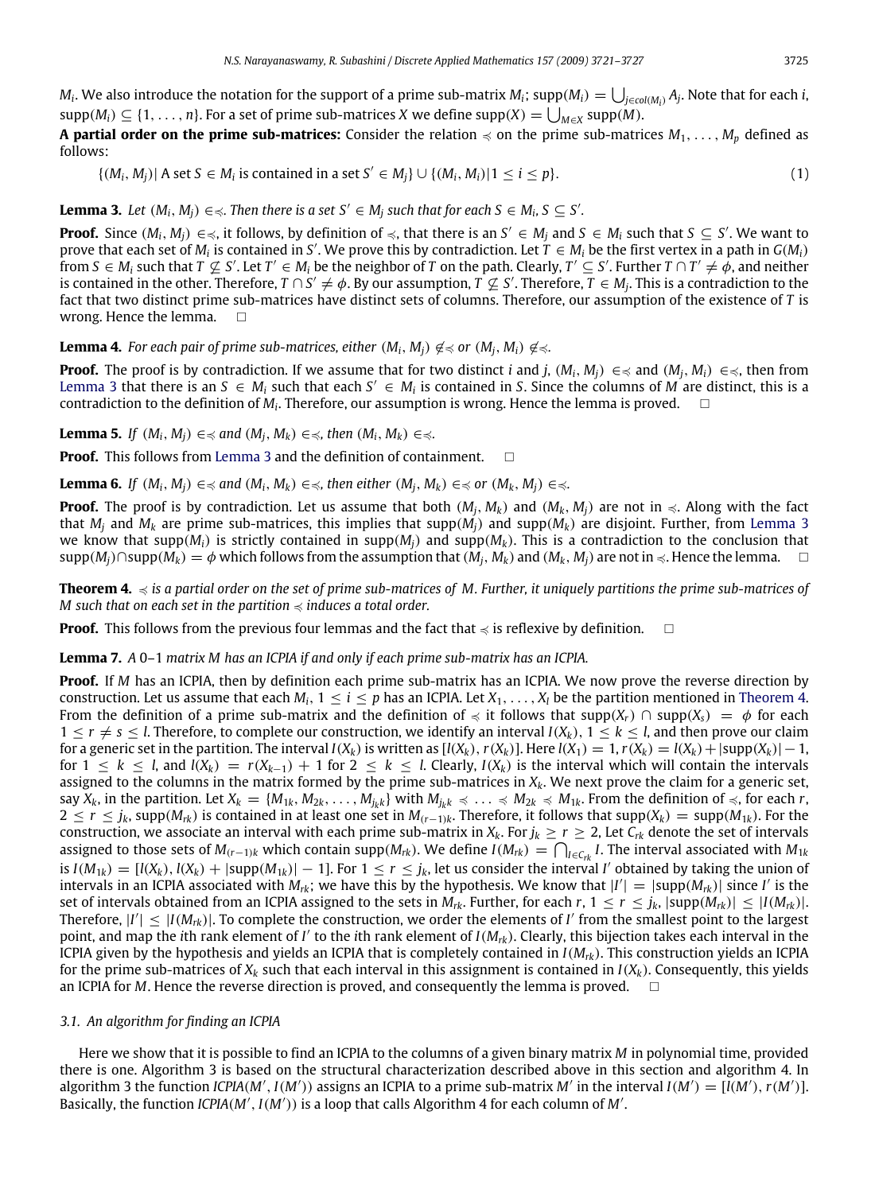$M_i$ . We also introduce the notation for the support of a prime sub-matrix  $M_i$ ; supp $(M_i) = \bigcup_{j \in col(M_i)} A_j$ . Note that for each *i*,  $\sup p(M_i) \subseteq \{1, \ldots, n\}$ . For a set of prime sub-matrices *X* we define  $\sup p(X) = \bigcup_{M \in X} \sup p(M)$ .

**A partial order on the prime sub-matrices:** Consider the relation  $\preccurlyeq$  on the prime sub-matrices  $M_1, \ldots, M_p$  defined as follows:

<span id="page-4-0"></span>
$$
\{(M_i, M_j) | A \text{ set } S \in M_i \text{ is contained in a set } S' \in M_j\} \cup \{(M_i, M_i) | 1 \le i \le p\}.
$$
 (1)

**Lemma 3.** Let  $(M_i, M_j) \in \text{R}$ . Then there is a set  $S' \in M_j$  such that for each  $S \in M_i$ ,  $S \subseteq S'$ .

**Proof.** Since  $(M_i, M_j) \in \text{S}$ , it follows, by definition of  $\text{S}$ , that there is an  $S' \in M_j$  and  $S \in M_i$  such that  $S \subseteq S'$ . We want to prove that each set of  $M_i$  is contained in *S'*. We prove this by contradiction. Let  $T \in M_i$  be the first vertex in a path in  $G(M_i)$ from  $S\in M_i$  such that  $T\not\subseteq S'$ . Let  $T'\in M_i$  be the neighbor of  $T$  on the path. Clearly,  $T'\subseteq S'$ . Further  $T\cap T'\neq\phi$ , and neither is contained in the other. Therefore,  $T\cap S'\neq\phi$ . By our assumption,  $T\not\subseteq S'$ . Therefore,  $T\in M_j$ . This is a contradiction to the fact that two distinct prime sub-matrices have distinct sets of columns. Therefore, our assumption of the existence of *T* is wrong. Hence the lemma.  $\Box$ 

**Lemma 4.** For each pair of prime sub-matrices, either  $(M_i, M_i) \notin \text{S}$  or  $(M_i, M_i) \notin \text{S}$ .

**Proof.** The proof is by contradiction. If we assume that for two distinct *i* and *j*,  $(M_i, M_i) \in \text{≤}$  and  $(M_i, M_i) \in \text{≤}$ , then from [Lemma 3](#page-4-0) that there is an  $S \in M_i$  such that each  $S' \in M_i$  is contained in S. Since the columns of M<sup>'</sup> are distinct, this is a contradiction to the definition of  $M_i$ . Therefore, our assumption is wrong. Hence the lemma is proved.  $\quad \Box$ 

**Lemma 5.** *If*  $(M_i, M_i) \in \text{S}$  *and*  $(M_i, M_k) \in \text{S}$ *, then*  $(M_i, M_k) \in \text{S}$ *.* 

**Proof.** This follows from [Lemma 3](#page-4-0) and the definition of containment.  $\Box$ 

**Lemma 6.** If  $(M_i, M_i) \in \text{ and } (M_i, M_k) \in \text{ and } M_i, M_k) \in \text{ and } M_i, M_j \in \text{ and } M_i, M_j \in \text{ and } M_i, M_j \in \text{ and } M_i, M_j \in \text{ and } M_i, M_j \in \text{ and } M_i, M_j \in \text{ and } M_i, M_j \in \text{ and } M_i, M_j \in \text{ and } M_i, M_j \in \text{ and } M_i, M_j \in \text{ and } M_i, M_j \in \text{ and } M_i, M_j \in \text{ and } M_i, M_j \in \text{ and } M_i, M_j \in \text{$ 

**Proof.** The proof is by contradiction. Let us assume that both  $(M_i, M_k)$  and  $(M_k, M_i)$  are not in  $\leq$ . Along with the fact that  $M_i$  and  $M_k$  are prime sub-matrices, this implies that supp( $M_i$ ) and supp( $M_k$ ) are disjoint. Further, from [Lemma 3](#page-4-0) we know that supp( $M_i$ ) is strictly contained in supp( $M_i$ ) and supp( $M_k$ ). This is a contradiction to the conclusion that  $\sup p(M_i) \cap \sup (M_k) = \phi$  which follows from the assumption that  $(M_i, M_k)$  and  $(M_k, M_i)$  are not in  $\leq$ . Hence the lemma.

<span id="page-4-1"></span>**Theorem 4.**  $\leq$  is a partial order on the set of prime sub-matrices of M. Further, it uniquely partitions the prime sub-matrices of *M* such that on each set in the partition  $\leq$  *induces a total order.* 

**Proof.** This follows from the previous four lemmas and the fact that  $\preccurlyeq$  is reflexive by definition.  $\Box$ 

**Lemma 7.** *A* 0–1 *matrix M has an ICPIA if and only if each prime sub-matrix has an ICPIA.*

**Proof.** If *M* has an ICPIA, then by definition each prime sub-matrix has an ICPIA. We now prove the reverse direction by construction. Let us assume that each  $M_i$ ,  $1 \le i \le p$  has an ICPIA. Let  $X_1, \ldots, X_l$  be the partition mentioned in [Theorem 4.](#page-4-1) From the definition of a prime sub-matrix and the definition of  $\preccurlyeq$  it follows that supp( $X_r$ )  $\cap$  supp( $X_s$ ) =  $\phi$  for each  $1 \leq r \neq s \leq l$ . Therefore, to complete our construction, we identify an interval  $I(X_k)$ ,  $1 \leq k \leq l$ , and then prove our claim for a generic set in the partition. The interval  $I(X_k)$  is written as  $[I(X_k), r(X_k)]$ . Here  $I(X_1) = 1, r(X_k) = I(X_k) + |\text{supp}(X_k)| - 1$ , for  $1 \leq k \leq l$ , and  $I(X_k) = r(X_{k-1}) + 1$  for  $2 \leq k \leq l$ . Clearly,  $I(X_k)$  is the interval which will contain the intervals assigned to the columns in the matrix formed by the prime sub-matrices in  $X_k$ . We next prove the claim for a generic set, say  $X_k$ , in the partition. Let  $X_k = \{M_{1k}, M_{2k}, \ldots, M_{jk}\}\$  with  $M_{jkk} \preccurlyeq \ldots \preccurlyeq M_{2k} \preccurlyeq M_{1k}$ . From the definition of  $\preccurlyeq$ , for each r, 2 ≤ *r* ≤ *j<sub>k</sub>*, supp( $M_{rk}$ ) is contained in at least one set in  $M_{(r-1)k}$ . Therefore, it follows that supp( $X_k$ ) = supp( $M_{1k}$ ). For the construction, we associate an interval with each prime sub-matrix in  $X_k$ . For  $j_k \ge r \ge 2$ , Let  $C_{rk}$  denote the set of intervals assigned to those sets of  $M_{(r-1)k}$  which contain supp( $M_{rk}$ ). We define  $I(M_{rk}) = \bigcap_{I \in C_{rk}} I$ . The interval associated with  $M_{1k}$ is  $I(M_{1k}) = [I(X_k), I(X_k) + |\text{supp}(M_{1k})| - 1]$ . For  $1 \le r \le j_k$ , let us consider the interval I' obtained by taking the union of intervals in an ICPIA associated with  $M_{rk}$ ; we have this by the hypothesis. We know that  $|I'| = |\text{supp}(M_{rk})|$  since *I'* is the set of intervals obtained from an ICPIA assigned to the sets in  $M_{rk}$ . Further, for each  $r, 1 \leq r \leq j_k$ ,  $|\text{supp}(M_{rk})| \leq |I(M_{rk})|$ . Therefore,  $|I'| \leq |I(M_{rk})|$ . To complete the construction, we order the elements of *I'* from the smallest point to the largest point, and map the *i*th rank element of *I'* to the *i*th rank element of *I*(*M<sub>rk</sub>*). Clearly, this bijection takes each interval in the ICPIA given by the hypothesis and yields an ICPIA that is completely contained in *I*(*Mrk*). This construction yields an ICPIA for the prime sub-matrices of  $X_k$  such that each interval in this assignment is contained in  $I(X_k)$ . Consequently, this yields an ICPIA for *M*. Hence the reverse direction is proved, and consequently the lemma is proved.

#### *3.1. An algorithm for finding an ICPIA*

Here we show that it is possible to find an ICPIA to the columns of a given binary matrix *M* in polynomial time, provided there is one. Algorithm 3 is based on the structural characterization described above in this section and algorithm 4. In algorithm 3 the function *ICPIA*(*M'*, *I*(*M'*)) assigns an ICPIA to a prime sub-matrix *M'* in the interval *I*(*M'*) = [*I*(*M'*), *r*(*M'*)]. Basically, the function *ICPIA*(*M'*, *I*(*M'*)) is a loop that calls Algorithm 4 for each column of *M'*.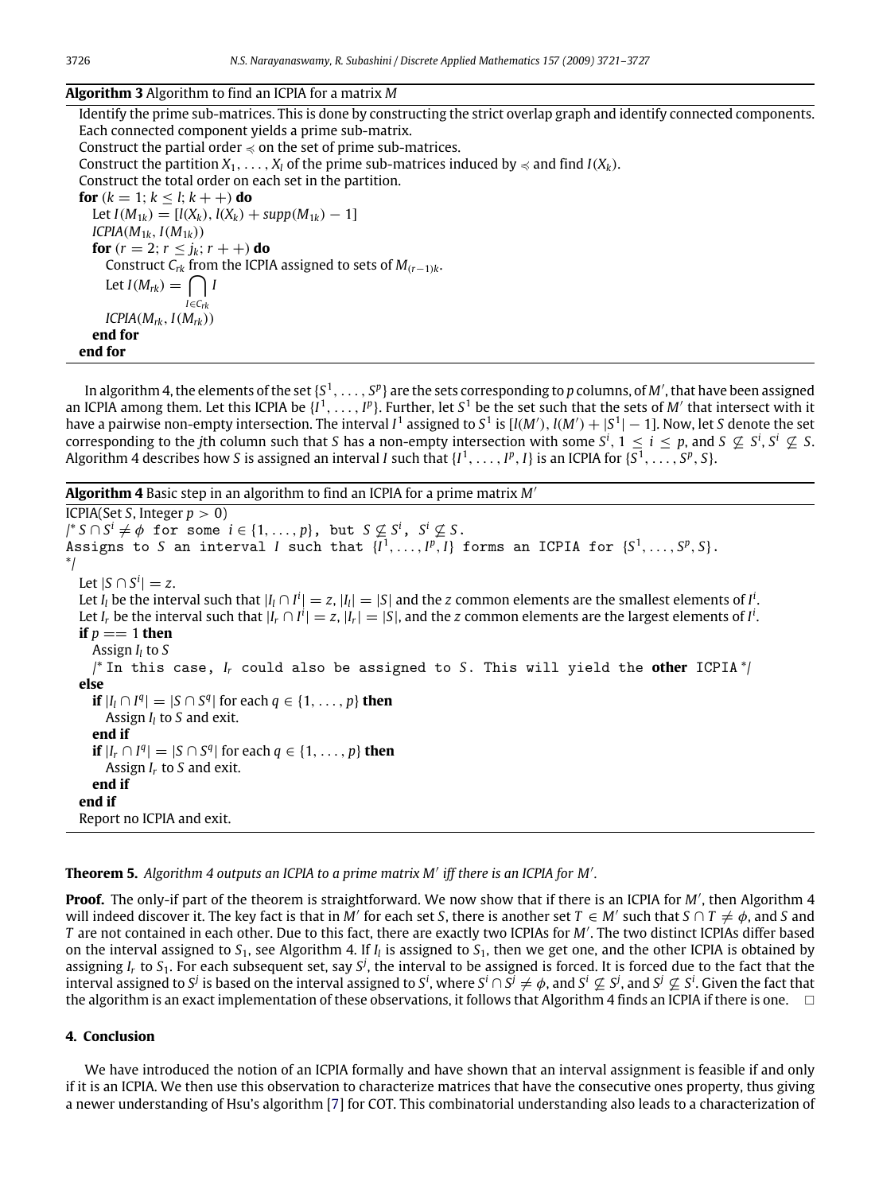#### **Algorithm 3** Algorithm to find an ICPIA for a matrix *M*

Identify the prime sub-matrices. This is done by constructing the strict overlap graph and identify connected components. Each connected component yields a prime sub-matrix. Construct the partial order  $\preccurlyeq$  on the set of prime sub-matrices. Construct the partition  $X_1, \ldots, X_l$  of the prime sub-matrices induced by  $\preccurlyeq$  and find  $I(X_k)$ . Construct the total order on each set in the partition. **for**  $(k = 1; k < l; k + 1)$  **do** Let  $I(M_{1k}) = [l(X_k), l(X_k) + \text{supp}(M_{1k}) - 1]$ *ICPIA*(*M*<sup>1</sup>*k*, *I*(*M*<sup>1</sup>*k*)) **for**  $(r = 2; r \leq j_k; r + 1)$  **do** Construct  $C_{rk}$  from the ICPIA assigned to sets of  $M_{(r-1)k}$ . Let  $I(M_{rk}) = \bigcap I$ *I*∈*Crk*  $ICPIA(M_{rk}, I(M_{rk}))$ **end for**

**end for**

In algorithm 4, the elements of the set  $\{S^1,\ldots,S^p\}$  are the sets corresponding to  $p$  columns, of  $M'$ , that have been assigned an ICPIA among them. Let this ICPIA be  $\{I^1,\ldots,I^p\}$ . Further, let  $S^1$  be the set such that the sets of M' that intersect with it have a pairwise non-empty intersection. The interval I<sup>1</sup> assigned to S<sup>1</sup> is [I(M'), I(M') +  $|S^1| - 1$ ]. Now, let S denote the set corresponding to the *j*th column such that *S* has a non-empty intersection with some  $S^i$ ,  $1 \le i \le p$ , and  $S \nsubseteq S^i$ ,  $S^i \nsubseteq S$ . Algorithm 4 describes how *S* is assigned an interval *I* such that  $\{I^1,\ldots,I^p,I\}$  is an ICPIA for  $\{S^1,\ldots,S^p,S\}$ .

**Algorithm 4** Basic step in an algorithm to find an ICPIA for a prime matrix *M*′

```
ICPIA(Set S, Integer p > 0)
j^* S \cap S^i \neq \emptyset for some i \in \{1, ..., p\}, but S \nsubseteq S^i, S^i \nsubseteq S.
Assigns to S an interval I such that \{I^1, \ldots, I^p, I\} forms an ICPIA for \{S^1, \ldots, S^p, S\}.
*/
   Let |S \cap S^i| = z.
   Let I<sub>l</sub> be the interval such that |I_l \cap I^i| = z, |I_l| = |S| and the z common elements are the smallest elements of I<sup>i</sup>.
   Let I<sub>r</sub> be the interval such that |I_r \cap I^i| = z, |I_r| = |S|, and the z common elements are the largest elements of I<sup>i</sup>.
  if p == 1 then
     Assign Il to S
     /* In this case, Ir could also be assigned to S. This will yield the other ICPIA */
  else
     if |I_l \cap I^q| = |S \cap S^q| for each q \in \{1, \ldots, p\} then
       Assign Il to S and exit.
     end if
     if |I_r \cap I^q| = |S \cap S^q| for each q \in \{1, \ldots, p\} then
       Assign Ir to S and exit.
     end if
  end if
  Report no ICPIA and exit.
```
**Theorem 5.** *Algorithm 4 outputs an ICPIA to a prime matrix M*′ *iff there is an ICPIA for M*′ *.*

**Proof.** The only-if part of the theorem is straightforward. We now show that if there is an ICPIA for *M*′ , then Algorithm 4 will indeed discover it. The key fact is that in  $M'$  for each set *S*, there is another set  $T \in M'$  such that  $S \cap T \neq \phi$ , and *S* and *T* are not contained in each other. Due to this fact, there are exactly two ICPIAs for *M*′ . The two distinct ICPIAs differ based on the interval assigned to  $S_1$ , see Algorithm 4. If  $I_l$  is assigned to  $S_1$ , then we get one, and the other ICPIA is obtained by assigning *I<sub>r</sub>* to *S*<sub>1</sub>. For each subsequent set, say *S*<sup>j</sup>, the interval to be assigned is forced. It is forced due to the fact that the interval assigned to  $S^j$  is based on the interval assigned to  $S^i$ , where  $S^i\cap S^j\neq\phi$ , and  $S^i\not\subseteq S^j$ , and  $S^j\not\subseteq S^i$ . Given the fact that the algorithm is an exact implementation of these observations, it follows that Algorithm 4 finds an ICPIA if there is one.

#### **4. Conclusion**

We have introduced the notion of an ICPIA formally and have shown that an interval assignment is feasible if and only if it is an ICPIA. We then use this observation to characterize matrices that have the consecutive ones property, thus giving a newer understanding of Hsu's algorithm [\[7\]](#page-6-10) for COT. This combinatorial understanding also leads to a characterization of